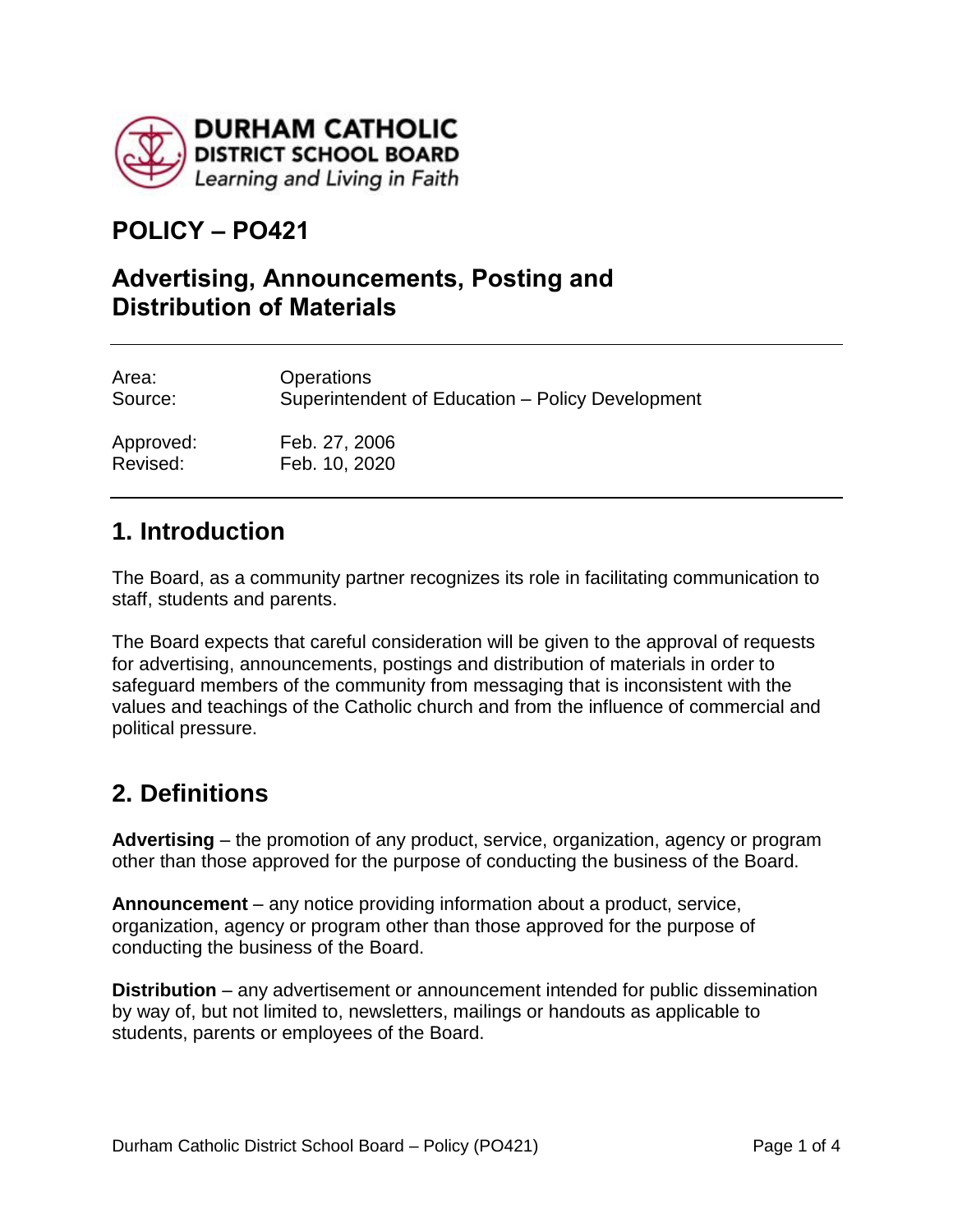

# **POLICY – PO421**

#### **Advertising, Announcements, Posting and Distribution of Materials**

| Area:     | <b>Operations</b>                                |
|-----------|--------------------------------------------------|
| Source:   | Superintendent of Education - Policy Development |
| Approved: | Feb. 27, 2006                                    |
| Revised:  | Feb. 10, 2020                                    |

### **1. Introduction**

The Board, as a community partner recognizes its role in facilitating communication to staff, students and parents.

The Board expects that careful consideration will be given to the approval of requests for advertising, announcements, postings and distribution of materials in order to safeguard members of the community from messaging that is inconsistent with the values and teachings of the Catholic church and from the influence of commercial and political pressure.

# **2. Definitions**

**Advertising** – the promotion of any product, service, organization, agency or program other than those approved for the purpose of conducting the business of the Board.

**Announcement** – any notice providing information about a product, service, organization, agency or program other than those approved for the purpose of conducting the business of the Board.

**Distribution** – any advertisement or announcement intended for public dissemination by way of, but not limited to, newsletters, mailings or handouts as applicable to students, parents or employees of the Board.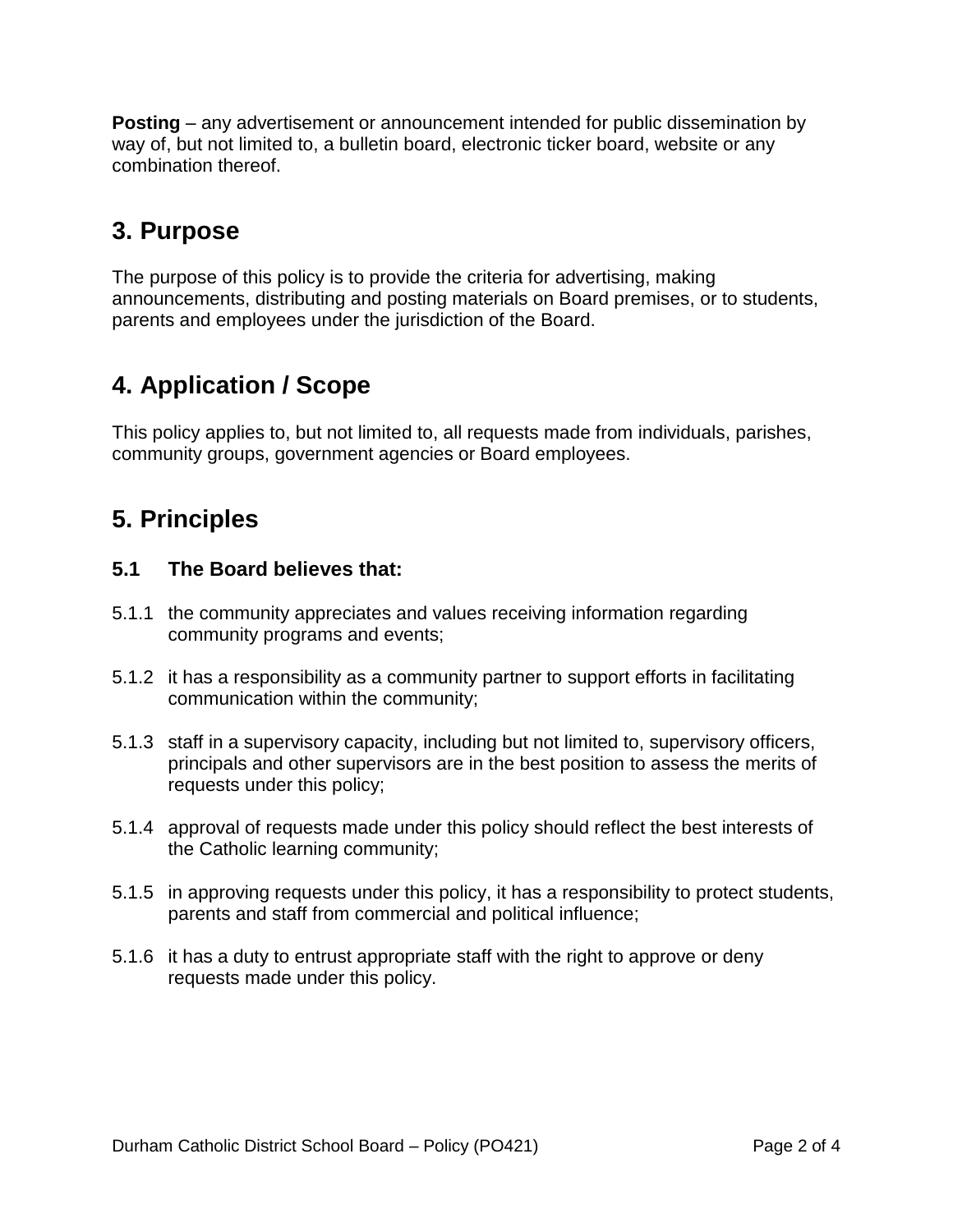**Posting** – any advertisement or announcement intended for public dissemination by way of, but not limited to, a bulletin board, electronic ticker board, website or any combination thereof.

# **3. Purpose**

The purpose of this policy is to provide the criteria for advertising, making announcements, distributing and posting materials on Board premises, or to students, parents and employees under the jurisdiction of the Board.

# **4. Application / Scope**

This policy applies to, but not limited to, all requests made from individuals, parishes, community groups, government agencies or Board employees.

# **5. Principles**

#### **5.1 The Board believes that:**

- 5.1.1 the community appreciates and values receiving information regarding community programs and events;
- 5.1.2 it has a responsibility as a community partner to support efforts in facilitating communication within the community;
- 5.1.3 staff in a supervisory capacity, including but not limited to, supervisory officers, principals and other supervisors are in the best position to assess the merits of requests under this policy;
- 5.1.4 approval of requests made under this policy should reflect the best interests of the Catholic learning community;
- 5.1.5 in approving requests under this policy, it has a responsibility to protect students, parents and staff from commercial and political influence;
- 5.1.6 it has a duty to entrust appropriate staff with the right to approve or deny requests made under this policy.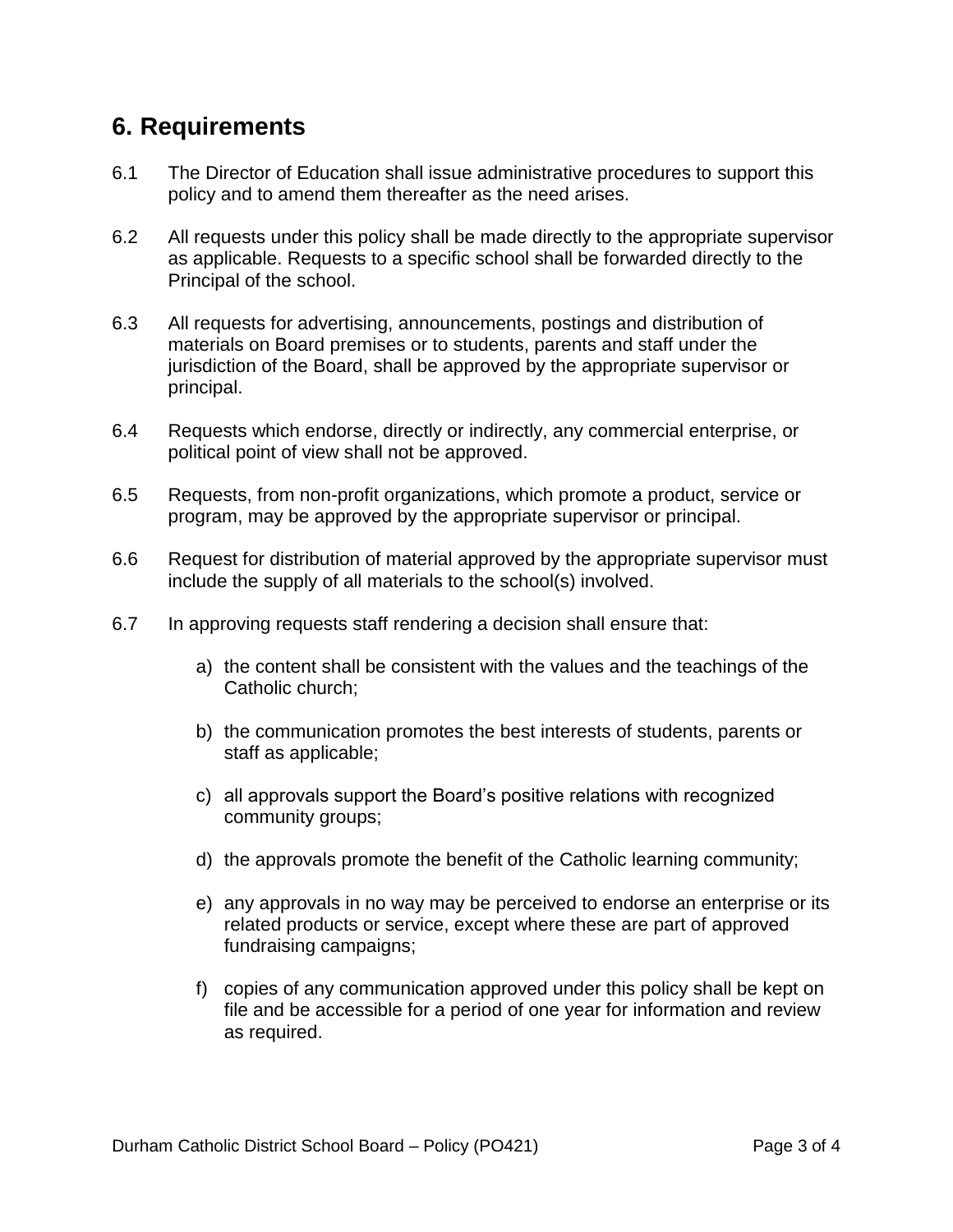## **6. Requirements**

- 6.1 The Director of Education shall issue administrative procedures to support this policy and to amend them thereafter as the need arises.
- 6.2 All requests under this policy shall be made directly to the appropriate supervisor as applicable. Requests to a specific school shall be forwarded directly to the Principal of the school.
- 6.3 All requests for advertising, announcements, postings and distribution of materials on Board premises or to students, parents and staff under the jurisdiction of the Board, shall be approved by the appropriate supervisor or principal.
- 6.4 Requests which endorse, directly or indirectly, any commercial enterprise, or political point of view shall not be approved.
- 6.5 Requests, from non-profit organizations, which promote a product, service or program, may be approved by the appropriate supervisor or principal.
- 6.6 Request for distribution of material approved by the appropriate supervisor must include the supply of all materials to the school(s) involved.
- 6.7 In approving requests staff rendering a decision shall ensure that:
	- a) the content shall be consistent with the values and the teachings of the Catholic church;
	- b) the communication promotes the best interests of students, parents or staff as applicable;
	- c) all approvals support the Board's positive relations with recognized community groups;
	- d) the approvals promote the benefit of the Catholic learning community;
	- e) any approvals in no way may be perceived to endorse an enterprise or its related products or service, except where these are part of approved fundraising campaigns;
	- f) copies of any communication approved under this policy shall be kept on file and be accessible for a period of one year for information and review as required.